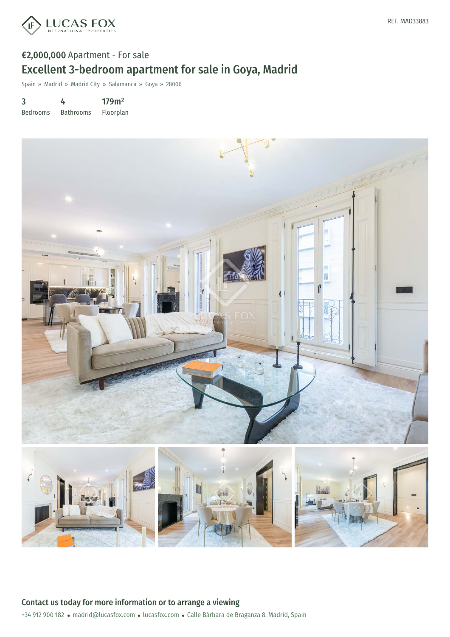

# €2,000,000 Apartment - For sale Excellent 3-bedroom apartment for sale in Goya, Madrid

Spain » Madrid » Madrid City » Salamanca » Goya » 28006

3 Bedrooms 4 Bathrooms 179m² Floorplan

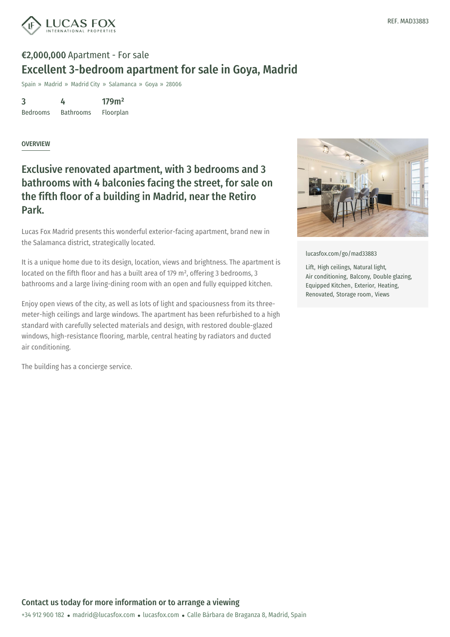

# €2,000,000 Apartment - For sale Excellent 3-bedroom apartment for sale in Goya, Madrid

Spain » Madrid » Madrid City » Salamanca » Goya » 28006

3 Bedrooms 4 Bathrooms 179m²

Floorplan

#### **OVERVIEW**

### Exclusive renovated apartment, with 3 bedrooms and 3 bathrooms with 4 balconies facing the street, for sale on the fifth floor of a building in Madrid, near the Retiro Park.

Lucas Fox Madrid presents this wonderful exterior-facing apartment, brand new in the Salamanca district, strategically located.

It is a unique home due to its design, location, views and brightness. The apartment is located on the fifth floor and has a built area of 179 m², offering 3 bedrooms, 3 bathrooms and a large living-dining room with an open and fully equipped kitchen.

Enjoy open views of the city, as well as lots of light and spaciousness from its threemeter-high ceilings and large windows. The apartment has been refurbished to a high standard with carefully selected materials and design, with restored double-glazed windows, high-resistance flooring, marble, central heating by radiators and ducted air conditioning.

The building has a concierge service.



[lucasfox.com/go/mad33883](https://www.lucasfox.com/go/mad33883)

Lift, High ceilings, Natural light, Air conditioning, Balcony, Double glazing, Equipped Kitchen, Exterior, Heating, Renovated, Storage room, Views